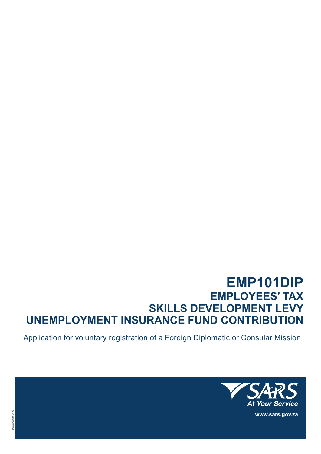# **EMP101DIP EMPLOYEES' TAX SKILLS DEVELOPMENT LEVY UNEMPLOYMENT INSURANCE FUND CONTRIBUTION**

Application for voluntary registration of a Foreign Diplomatic or Consular Mission



**www.sars.gov.za**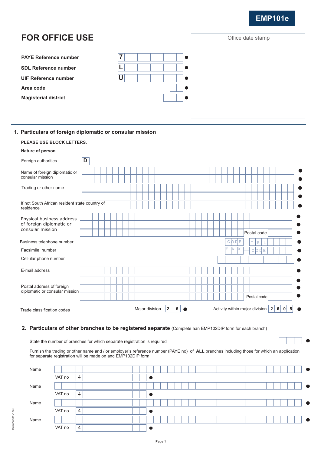## **EMP101e**

#### **FOR OFFICE USE** Office date stamp **PAYE Reference number 7**  $\bullet$ **L SDL Reference number**  $\bullet$ **UIF Reference number U** Ċ **Area code** Ċ **Magisterial district** Ċ

### **1. Particulars of foreign diplomatic or consular mission**

| <b>PLEASE USE BLOCK LETTERS.</b>                                          |                                                                                                                |
|---------------------------------------------------------------------------|----------------------------------------------------------------------------------------------------------------|
| Nature of person                                                          |                                                                                                                |
| Foreign authorities                                                       | D                                                                                                              |
| Name of foreign diplomatic or<br>consular mission                         |                                                                                                                |
| Trading or other name                                                     |                                                                                                                |
| If not South African resident state country of<br>residence               |                                                                                                                |
| Physical business address<br>of foreign diplomatic or<br>consular mission |                                                                                                                |
|                                                                           | Postal code                                                                                                    |
| Business telephone number                                                 | Е<br><b>COD</b><br>E<br>T                                                                                      |
| Facsimile number                                                          | F<br>IA<br>IX.<br>$C$ $O$ $D$ $E$                                                                              |
| Cellular phone number                                                     |                                                                                                                |
| E-mail address                                                            |                                                                                                                |
|                                                                           | c                                                                                                              |
| Postal address of foreign<br>diplomatic or consular mission               |                                                                                                                |
|                                                                           | Postal code                                                                                                    |
| Trade classification codes                                                | $\overline{2}$<br>Activity within major division $ 2 $<br>$6 \mid$<br>5<br>Major division<br>$\mathbf{0}$<br>6 |

#### **2. Particulars of other branches to be registered separate** (Complete aan EMP102DIP form for each branch)

State the number of branches for which separate registration is required

Furnish the trading or other name and / or employer's reference number (PAYE no) of **ALL** branches including those for which an application for separate registration will be made on and EMP102DIP form